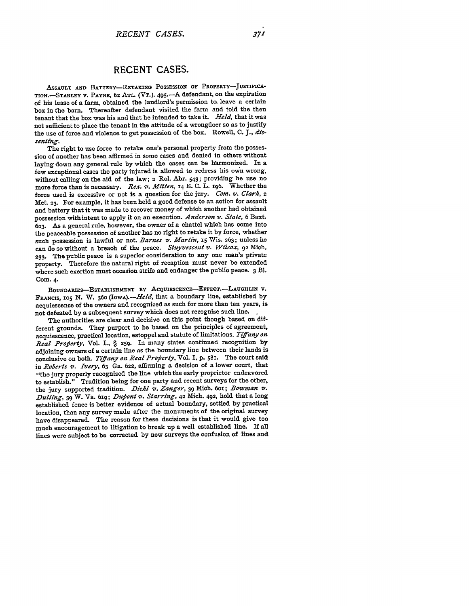## **RECENT CASES.**

ASSAULT **AND** BATTERY-RETAIUNG **POSSESSION OF** PROPERTY-JUSTIFICA-TION.-STANLEY V. PAYNE, 62 ATL. (VT.). 495.-A defendant, on the expiration of his lease of a farm, obtained the landlord's permission **to.** leave a certain box in the barn. Thereafter defendant visited the farm and told the then tenant that the box was his and that he intended to take it. *Held,* that it was not sufficient to place the tenant in the attitude of a wrongdoer so as to justify the use of force and violence to get possession of the box. Rowell, **C.** *J., dissenting.*

The right to use force to retake one's personal property from the possession of another has been affirmed in some cases and denied in others without laying down any general rule **by** which the cases can be harmonized. In a few exceptional cases the party injured is allowed to redress his own wrong, without calling on the aid of the law; **2** Rol. Abr. 543; providing he use no more force than is necessary. *Rex.* **v.** *Ait'ten,* **14 E. C.** L. 196. Whether the force used is excessive or not is a question for the jury. *Com. v. Clark, <sup>2</sup>* Met. **23.** For example, it has been held a good defense to an action for assault and battery that it was made to recover money of which another had obtained possession withintent to apply it on an execution. *Anderson v. State,* **6** Baxt. **603.** As a general rule, however, the owner of a chattel which has come into the peaceable possession of another has no right to retake it **by** force, whether such possession is lawful or not. *Barnes v. Martin,* 15 Wis. 263; unless he **can** do so without a breach of the peace. *Stuyvescent v. Wilcox,* **92** Mich. **233.** The public peace is a superior consideration to any one man's private property. Therefore the natural right of recaption must never be extended where such exertion must occasion strife and endanger the public peace. 3 Bl. Com. 4.

BOUNDARIES-ESTABLISHMENT BY ACQUIESCENCE-EFFECT.-LAUGHLIN V. FRANcIS, **105** N. W. 360 *(IowA).-Held,* that a boundary line, established **by** acquiescence of the owners and recognized as such for more than ten years, is not defeated by a subsequent survey which does not recognize such line. **,**

The authorities are clear and decisive on this point though based on different grounds. They purport to be based on the principles of agreement, acquiescence, practical location, estoppel and statute of limitations. *Tiffany on Real Profierty,* Vol. **I., § 259.** In many states continued recognition **by** adjoining owners of a certain line as the boundary line between their lands is conclusive on both. *Tiffany on Real Property*, Vol. I, p. 581. The court said in *Roberts v. Ivry,* **63** Ga. **622,** affirming **a** decision of **a** lower court, **that** "the jury properly recognized the line which the early proprietor endeavored to establish." Tradition being for one party and recent surveys for the other, the jury supported tradition. *Diehl v. Zanger,* **39** Mich. 6ox; *Bowman v. Dulling,* **39** W. Va. 61g; *Dufiont v'. Starring,* **42** Mich, 492, hold that a long established fence is better evidence of actual boundary, settled **by** practical location, than any survey made after the monuments of the original survey have disappeared. The reason for these decisions is that it would give too much encouragement to litigation to break up a well established line. If all lines were subject to be corrected **by** new surveys the confusion of lines and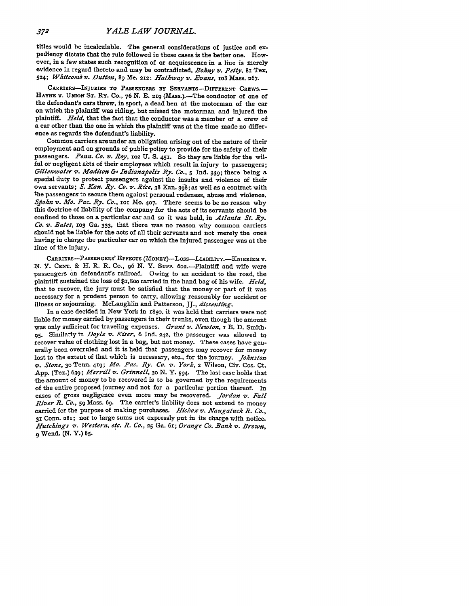titles would be incalculable. The general considerations of justice and expediency dictate that the rule followed in these cases is the better one. However, in a few states such recognition of or acquiescence in a line is merely evidence in regard thereto and may be contradicted, *Bohny V. Petty, 81* Tex. 524; *Whitcomb v. Dutton,* **89** Me. **212:** *Hathway v. Evans,* **ioS** Mass. **267.**

CARRIERS-INJURIES TO PASSENGERS **BY** SERVAmTS-DIFFERENT CREWS.- HAYNE **v.** UNION ST. Ry. Co., 76 N. E. 219 (MASS.).-The conductor of one of the defendant's cars threw, in sport, a dead hen at the motorman of the car on which the plaintiff was riding, but missed the motorman and injured the plaintiff. *Held,* that the fact that the conductor was a member of a crew of a car other than the one in which the plaintiff was at the time made no difference as regards the defendant's liability.

Common carriers are under an obligation arising out of the nature of their employment and on grounds of public policy to provide for the safety of their passengers. *Penn. Co. v.* Roy, **102 U. S.** 451. So they are liable for the wilful or negligent acts of their employees which result in injury to passengers; *Gillenwater v. Madison* **&-** *Indanafiolis Ry. Co.,* **5** Ind. **339;** there being a special duty to protect passengers against the insults and violence of their own servants; *S. Kan. Ry. Co. v. Rice,* **38** Kan. **398;** as well as a contract with the passengers to secure them against personal rudeness, abuse and violence. *Sjohn v. Mo. Pac. Ry. Co., 'or* Mo. **407.** There seems to be no reason why this doctrine of liability of the company for the acts of its servants should be confined to those on a particular car and so it was held, in *Atlanta St. Ry.* Co. *v. Bates,* **1o3 Ga.** 333, that there was no reason why common carriers should not be liable for the acts of all their servants and not merely the ones having in charge the particular car on which the injured passenger was at the time of the injury.

CARRIERS-PASSENGERS' EFFECTS (MONEY)-Doss-LIABILITY.-KNIERIEM V. *N.* Y. **CENT. &** H. R. R. Co., **96 N.** Y. Supp. 602.-Plaintiff and wife were passengers on defendant's railroad. Owing to an accident to the road, the plaintiff sustained the loss of \$I, **8oo** carried in the hand bag of his wife. *Held,* that to recover, the **jury** must be satisfied that the money or part of it was necessary for a prudent person to carry, allowing reasonably for accident or illness or sojourning. McLaughlin and Patterson, **JJ.,** *dissenting.*

In a case decided in New York in x85o, it was held that carriers were not liable for money carried by passengers in their trunks, even though the amount was only sufficient for traveling expenses. *Grant v. Newton,* I **E. D.** Smith, **95.** Similarly in *Doyle v. Kiser,* 6 **Ind. 242,** the passenger was allowed to recover value of clothing lost in a bag, but not money. These cases have generally been overruled and it is held that passengers may recover for money lost to the extent of that which is necessary, etc., for the journey. *Johnston v. Stone,* **30** Tenn. 419; *Mo. Pac. Ry. Co. v. York,* **2** Wilson, Civ. Cos. Ct. **App.** (Tex.) **639;** *Merrill v. Grinnell, 3o* **N.** Y. **594.** The last case holds that the amount of money to be recovered is to be governed **by** the requirements of the entire proposed journey and not for a particular portion thereof. In cases of gross negligence even more may be recovered. *Jordan v. Fall .River 1?. Co., 59* Mass. **69.** The carrier's liability does not extend to money carried for the purpose of making purchases. *Hickox v. Naugatuck R. Co.,* 31 Conn. **281;** nor to large sums not expressly put in its charge with notice. *Hutchings v. Western, etc. R. Co.,* **25** Ga. 61; *Orange Co. Bank v'. Brown,* 9Wend. **(N.** Y.) **85.**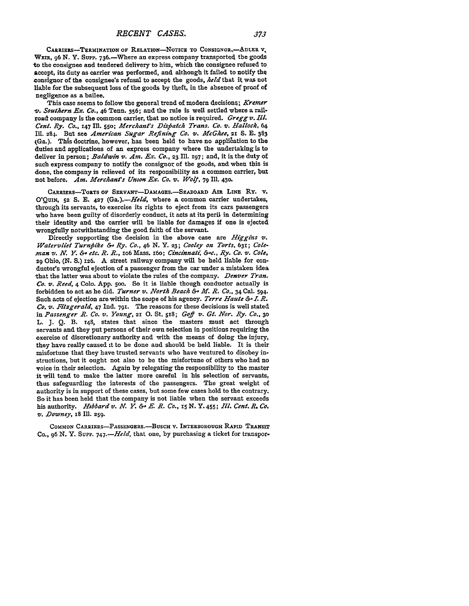CARRIERS-TERMINATION OF RELATION-NOTICE TO CONSIGNOR.-- ADLER V. WEIR, 96 N. Y. Supp. 736.-- Where an express company transported the goods to the consignee and tendered delivery to him, which the consignee refused to accept, its duty as carrier was performed, and although it failed to notify the consignor of the consignee's refusal to accept the goods, *held* that it was not liable for the subsequent loss of the goods **by** theft, in the absence of pxoof of negligence as a bailee.

This case seems to follow the general trend of modern decisions: *Kremer -v. Southern Ex. Co.,* 46 Tenn. 356; and the rule is well settled where a railroad company is the common carrier, that no notice is required. *Greggv. Ill. Cent. Ry. Co.,* 147 Il. 55o; *Merchant's Disfiatch Trans. Co. v. Hallock,* <sup>64</sup> Ill. **284.** But see *American Sugar Refining Co. v. McGhee,* **21 S. E. 383** iGa.). This doctrine, however, has been held to have no application to the duties and applications of an express company where the undertaking is to deliver in person; *Baldwin v. Am. Ex. Co.*, 23 Ill. 197; and, it is the duty of such express company to notify the consignor of the goods, and when this is done, the company is relieved of its responsibility as a common carrier, but not before. Am. Merchant's Union Ex. Co. v. Wolf, 79 Ill. 430.

**CARRIERS-TORTS** OF **SERvANT-DAMAGES.-SEABOARD** Ant **LINE** Ry. v. **O'QUIN,** 52 **S. E. 427** *(Ga.).-Held,* where a common carrier undertakes, through its servants, to exercise its rights to eject from its cars passengers who have been guilty of disorderly conduct, it acts at its peril in determining their identity and the carrier will be liable for damages if one is ejected wrongfully notwithstanding the good faith of the servant.

Directly supporting the decision in the above case are *Higgins v. Watervliet Turnfike &, Ry. Co., 46* **N.** Y. **23;** *Cooley on Torts,* **63X;** *Cole- .man v. N. Y. & etc. R. R.,* io6 Mass. x6o; *Cincinnati &-c., Ry. Co. v. Cole,* 29 Ohio, (N. S.) **126.** A street railway company will be held liable for conductor's wrongful ejection of a passenger from the car under a mistaken idea that the latter was about to violate the rules of the company. *Denver Tran. Co. v. Reed,* 4 Colo. **App.** 5oo. So it is liable though conductor actually is forbidden to act as he did. *Turner v. North Beach &- M. R. Co.,* 34 Cal. 594. Such acts of ejection are within the scope of his agency. *Terre Haute &- I. R. Co. v. Fitzgerald,* 47 Ind. **791.** The reasons for these decisions is well stated in *Passenger R. Co. v. Young, 2X* **0.** St. **5x8;** *Go§ v. Gt. Nor. Ry. Co.,* **<sup>30</sup>** L. **J. Q.** B. t48, states that since the masters must act through servants and they put persons of their own selection in positions requiring the exercise of discretionary authority and with the means of doing the injury, they have really caused **it** to be done and should be held liable. It is their misfortune that they have trusted servants who have ventured to disobey instructions, but it ought not also to be the misfortune of others who had no voice in their selection. Again **by** relegating the responsibility to the master it will tend to make **the** latter more careful in his selection of servants, thus safeguarding the interests of the passengers. The great weight of authority is in support of these cases, but some few cases hold to the contrary. So it has been held that the company is not liable when the servant exceeds his authority. *Hbbard v. N. Y. &- E. R. Co.,* iS **N. Y.** 455; *Ill. Cent. R. Co. v. Downey,* **18** Ill. **259.**

**COMMON** CARRIERs-PAssENGERS.-BUscH v. **INTERBOROUGH RAPID** TRANSIT Co., **96** *N.* Y. **SuPP.** *74 <sup>7</sup> .- Held,* that one, **by** purchasing a ticket for transpor.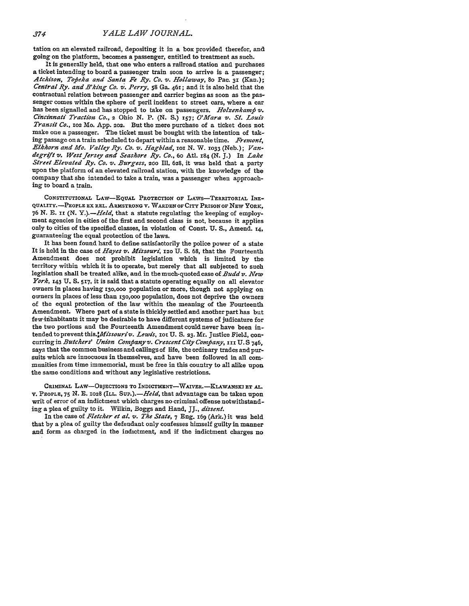tation on an elevated railroad, depositing it in a box provided therefor, **and** going on the platform, becomes a passenger, entitled to treatment as such.

It is generally held, that one who enters a railroad station and purchases a ticket intending to board a passenger train soon to arrive is a passenger; *Atchison, Tojeka and Santa Fe Ry. Co. v. Hollaway,* **8o** Pac. **31** (Kan.); *Central Ry. and B'king Co. v. Perry, 58* Ga. 461; and it is also held that the contractual relation between passenger and carrier begins as soon as the passenger comes within the sphere of peril incident to street cars, where a car has been signalled and has stopped to take on passengers. *Holzenkamp v*. *Cincinnati Traction Co.,* **2** Ohio N. P. (N. **S.) 357;** *O'Mara v. St. Louis Transit Co., io2* Mo. App. **202.** But the mere purchase of a ticket does not make one a passenger. The ticket must be bought with the intention of taking passage on a train scheduled to depart within a reasonable time. *Fremont,* Elkhorn and Mo. Valley Ry. Co. v. Hagblad, 101 N. W. 1033 (Neb.); Van*degrift v. West jersey and Seashore Ry. Co.,* 6o At. 184 **(N. J.)** In *Lake Street Elevated Ry. Co. v. Burgess, 20o* Ill. 628, it was held that a party upon the platform of an elevated railroad station, with the knowledge of the company that she intended to take a train, was a passenger when approaching to board a train.

**CONSTITUTIONAL LAw-EQUAL** PROTECTION OF LAws-TERRITORIAL INE-**QUALITY.-PEOPLE EX REL.** ARMSTRONG **V.** WARDEN **OF** CITY **PRISON OF NEW** YORK, 76 **N. E. ii (N.** *Y.).-Held,* that a statute regulating the keeping of employment agencies in cities of the first and second class is not, because it applies only to cities of the specified classes, in violation of Const. **U. S.,** Amend. **14,** guaranteeing the equal protection of the laws.

It has been found hard to define satisfactorily the police power of a state It is held in the case of *Hayes v. Missouri,* **120 U. S. 68,** that the Fourteenth Amendment does not prohibit legislation which is limited **by** the territory within which it is to operate, but merely that all subjected to such legislation shall be treated alike, and in the much-quoted case of *Budd v. New York,* **143 U. S. 517,** it is said that a statute operating equally on all elevator owners in places having 130,000 population or more, though not applying on owners in places of less than **r30,ooo** population, does not deprive the owners of the equal protection of the law within the meaning of the Fourteenth Amendment. Where part of a state is thickly settled and another part has but fewitihabitants it may be desirable to have different systems of judicature for the two portions and the Fourteenth Amendment could never have been intended to prevent *this.4Missouriv. Lewis,* Io1 **U. S. 23.** Mr. Justice Field, concurring in *Butchers' Union Comnfiany v. Crescent City Coamfany, iii* **U.S** 746, says that the common business and callings of life, the ordinary trades and pursuits which are innocuous in themselves, and have been followed in all communities from time immemorial, must be free in this country to all alike upon the same conditions and without any legislative restrictions.

**CRIMINAL LAW-OBJECTIONS TO INDICTMENT-WAIVER.-KLAWANSKI ET AL. V. PEOPLE,** 75 **N. E. 1028 (ILL.** *SuP.).-Held,* that advantage can be taken upon writ of error of an indictment which charges no criminal offense notwithstanding a plea of guilty to it. Wilkin, Boggs and Hand, *JJ., dissent.*

In the case of *Fletcher et al. v. The State,* **7** Eng. 169 (Ark.) it was held that by a plea of guilty the defendant only confesses himself guilty in manner and form as charged in the indictment, and if the indictment charges no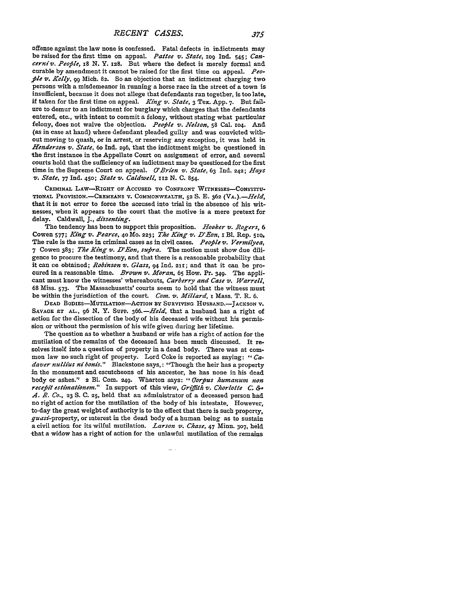offense against the law none is confessed. Fatal defects in indictments may be raised for the first time on appeal. *Pattee v. State,* iog Ind. 545; *Cancerniv. Peofile, i8* N. Y. 128. But where the defect is merely formal and curable by amendment it cannot be raised for the first time on appeal. *Peo ple v. Kelly,*  $q_0$  Mich. 82. So an objection that an indictment charging two persons with a misdemeanor in running a horse race in the street of a town is insufficient, because it does not allege that defendants ran together, is too late, if taken for the first time on appeal. *King v. State,* 3 Tex. App. 7. But failure to demur to an indictment for burglary which charges that the defendants entered, etc., with intent to commit a felony, without stating what particular felony, does not waive the objection. *People v. Nelson*, 58 Cal. 104. And (as in case at hand) where defendant pleaded guilty and was convicted without moving to quash, or in arrest, or reserving any exception, it was held in *Henderson v. State,* 6o Ind. **296,** that the indictment might be questioned in the first instance in the Appellate Court on assignment of error, and several courts hold that the sufficiency of an indictment may be questioned for the first time in the Supreme Court on appeal. *O'Brien v. State,* 63 Ind. 242; *Hays v. State,* 77 **Ind.** 450; *State v. Caldwell, 112* N. **C.** 854.

CRIMINAL LAW-RIGHT OF ACCUSED TO CONFRONT WITNESSES-CONSTITU-**TIONAL** PROVISION.-CREMEANS V. COMMONWEALTH, **52 S. E. 362** *(VA.).-Held,* that it is not error to force the accused into trial in the absence of his witnesses, when it appears to the court that the motive is a mere pretext for delay. Caldwall, *J., dissenting.*

The tendency has been to support this proposition. *Hooker v. Rogers, 6* Cowen **577;** *King v. Pearce,* **<sup>40</sup>**Mo. **223;** *The King v. D'Eon,* **i** Bl. Rep. *5rQ.* The rule is the same in criminal cases as in civil cases. *Peofile v. Vermilyea,* 7 Cowen 383; *The King v. D'Eon, sufira.* The motion must show due diligence to procure the testimony, and that there is a reasonable probability that it can Le obtained; *Robinson v. Glass,* **94 Ind.** 21x; and that it can be procured in a reasonable time. *Brown v. Moran,* **65** How. Pr. 349. The applicant must know the witnesses' whereabouts, *Carberry and Case v. Warrell,* **68** Miss. 573. The Massachusetts' courts seem to hold that the witness must be within the jurisdiction of the court. *Com. v. Millard,* I Mass. T. R. **6.**

**DEAD BODIES-MUTILATION-ACTION BY SURVIVING HUSBAND.-JACKSON** V. **SAVAGE ET AL., 96 N.** Y. SuPP. *366.-Held,* that a husband has a right of action for the dissection of the body of his deceased wife without his permission or without the permission of his wife given during her lifetime.

The question as to whether a husband or wife has a right of action for the mutilation of the remains of the deceased has been much discussed. It resolves itself into a question of property in a dead body. There was at common law no such right of property. Lord Coke is reported as saying: *" Cadaver nullius nibonis."* Blackstone says,: "Though the heir has a property in the monument and escutcheons of his ancestor, he has none in his dead body or ashes." 2 Bl. Com. 249. Wharton says: "*Gorpus humanum non recebfit estimationem."* In support of this view, *Grfith v. Chorlotte C.* **&.** *A. R. Co.,* **23 S.** C. **25,** held that an administrator of a deceased person had no right of action for the mutilation of the body of his intestate. However, to-day the great weight of authority is to the effect that there is such property,  $quasi$ -property, or interest in the dead body of a human being as to sustain a civil action for its wilful mutilation. *Larson v. Chase,* 47 Minn. **307, held** -that a widow has a right of action for the unlawful mutilation of the remains

...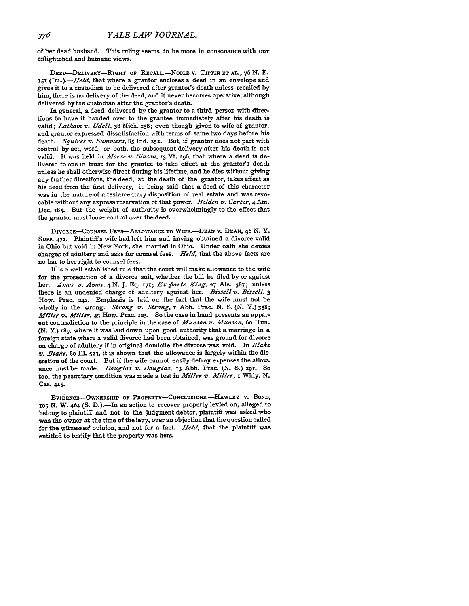of her dead husband. This ruling seems to be more in consonance with our enlightened and humane views.

DEED-DELIVERY-RIGHT OF RECALL.-NoBLE v. TIPTIN ET *AL.,* **76 N. B.** *x5i (ILL.).-Held,* that where a grantor encloses a deed in an envelope and gives it to a custodian to be delivered after grantor's death unless recalled **by** him, there is no delivery of the deed, and it never becomes operative, although delivered **by** the custodian after the grantor's death.

In general, a deed delivered by the grantor to a third person with directions to have it handed over to the grantee immediately after his death is valid; *Latham v. Udell,* 38 Mich. **238;** even though given to wife of grantor, and grantor expressed dissatisfaction with terms of same two days before his death. *Squires v. Summers,* **85 Ind. 252.** But, if grantor does not part with control **by** act, word, or both, the subsequent delivery after his death is not valid. It was held in *Morse v. Slason,* **13** Vt. **296,** that where a deed is delivered to one **in** trust for the grantee to take effect at the grantor's death unless he shall otherwise direct during his lifetime, and he dies without giving any further directions, the deed, at the death of the grantor, takes effect as his deed from the first delivery, it being said that a deed of this character was in the nature of a testamentary disposition of real estate and was revocable without any express reservation of that power. *Belden v. Carter,* 4 **Am.** Dec. **185.** But the weight of authority is overwhelmingly to the effect that the grantor must loose control over the deed.

**DIVORCE-COUNSEL FEES-ALLOWANCE TO WIFE.-DEAN** v. **DEAN,** o6 **N.** Y. SUPP. **472.** Plaintiff's wife had left him and having obtained a divorce valid in Ohio but void in New York, she married in Ohio. Under oath she denies charges of adultery and asks for counsel fees. *Held,* that the above facts are no bar to her right to counsel fees.

**It** is a well established rule that the court will make allowance to the wife for the prosecution of a divorce suit, whether the bill be filed **by** or against her. *Amos v. Amos*, 4 N. J. Eq. 171; *Ex parte King*, 27 Ala. 387; unless there is an undenied charge of adultery against her. *Bissell v. Bissell. 3* How. Prac. 242. Emphasis is laid on the fact that the wife must not be wholly in the wrong. *Strong v. Strong, i* Abb. Prac. **N. S. (N.** Y.) 358; *Miller v. Miller,* 43 How. Prac. **125.** So the case in hand presents an apparent contradiction to the principle in the case of *Munson v. Munson,* 60 Hun. **(N.** Y.) i89, where it was laid down upon good authority that a marriage in a foreign state where **a** valid divorce had been obtained, was ground for divorce on charge of adultery if in original domicile the divorce was void. In *Blake v. Blake,* 80 Ill. **523,** it is shown that the allowance is largely within the discretion of the court. But **if** the wife cannot easily defray expenses the allowance must be made. *Douglas v. Douglas,* **13 Abb.** Prac. **(N. S.)** 29r. So too, the pecuniary condition was made a test in *Miller v. Miller,* i **Wkly. N. Cas.** 415.

EVIDENCE-OWNERSHIP OF PROPERTY-CONCLUSIoNs.-HAWLEY v. BOND, **105 N.** W. 464 **(S.** D.).-In an action to recover property levied on, alleged to belong to plaintiff and not to the judgment debtor, plaintiff was asked who was the owner at the time of the levy, over an objection that the question called for the witnesses' opinion, and not for a fact. *Held,* that the plaintiff was entitled to testify that the property was hers.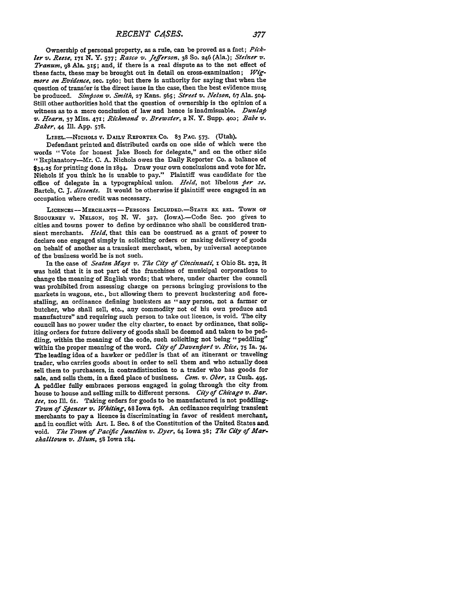Ownership of personal property, as a rule, can be proved as a fact; *Pick*ler *v. Reese, 171* **N. Y. 577;** *Rasco v. Jefferson,* 38 **So.** 246 (Ala.); *Steiner vz. Tranum,* **99** Ala. **315;** and, **if** there is a real dispute as to the net effect of these facts, these may be brought out in detail on cross-examination; Wig*more on Evidence,* sec. i96o; but there is authority for saying that when the question of transfer is the direct issue in the case, then the best evidence must be produced. *Simpson* v. *Smith,* **27** Kans. **565;** *Street v. Nelson,* **67** Ala. **504.** Still other authorities hold that the question of ownership is the opinion of a witness as to a mere conclusion of law and hence is inadmissable. *Dunlap v. Hearn,* **37** Miss. 47x; *Richmond v. Brewster,* 2 **N.** Y. Supp. **4o03;** *Babe v. Baker,* 44 *Ii.* **App. 578.**

**LIBEL.-NICHOLS V. DAILY REPORTER Co. 83 PAC. 573.** (Utah).

Defendant printed and distributed cards on one side of which were the words "Vote for honest Jake Bosch for delegate," and on the other side **",** Explanatory-Mr. **C. A.** Nichols owes the Daily Reporter Co. a balance of **\$34.25** for printing done in **1894.** Draw your own conclusions and vote for **Mr.** Nichols if you think he is unable to pay." Plaintiff was candidate for the office of delegate in a typographical union. *Held,* not libelous *per se.* Bartch, **C. J.** *dissents.* It would be otherwise if plaintiff were engaged in an occupation where credit was necessary.

**LICENCES- MERCHANTS** -PERSONS **INCLUDED.-STATE** EX **REL. TOWN** OF **SIGOURNEY** v. **NELSON, IO5** N. *W.* **327.** (IowA).-Code Sec. **700** gives to cities and towns power to define **by** ordinance who shall be considered transient merchants. *Held,* that this can be construed as a grant of power to declare one engaged simply in soliciting orders or making delivery of goods on behalf of another as a transient merchant, when, **by** universal acceptance of the business world he is not such.

In the case of *Seaton Hays v. The City of Cincinnat4* I Ohio St. **272,** it was held that it is not part of the franchises of municipal corporations to change the meaning of English words; that where, under charter the council was prohibited from assessing charge on persons bringing provisions to the markets in wagons, etc., but allowing them to prevent huckstering and forestalling, an ordinance defining hucksters as "any person, not a farmer or butcher, who shall sell, etc., any commodity not of his own produce and manufacture" and requiring such person to take out licence, is void. The city council has no power under the city charter, to enact **by** ordinance, that solipiting orders for future delivery of goods shall be deemed and taken to be peddling, within the meaning of the code, such soliciting not being "peddling" within the proper meaning of the word. *City of Davenport v. Rice,* **75** Ia. 74. The leading idea of a hawker or peddler is that of an itinerant or traveling trader, who carries goods about in order to sell them and who actually does sell them to purchasers, in contradistinction to a trader who has goods for sale, and sells them, in a fixed place of business. *Com. v. Ober,* **12** Cush. 495. **A** peddler fully embraces persons engaged in going through the city from house to house and selling milk to different persons. *City of Chicago v. Bar. tee,* ioo **Ill.** 61. Taking orders for goods to be manufactured is not peddling-*Town of Spencer v. Whiting,* **68** Iowa **678. An** ordinance requiring transient merchants to pay a licence is discriminating in favor of resident merchant, and in conflict with Art. I. Sec. 8 of the Constitution of the United States and. void. *The Town of Pacific function* **v.** *Dyer,* 64 Iowa 38; *The City of Mar. shalltown v. Blum,* **58** Iowa 184.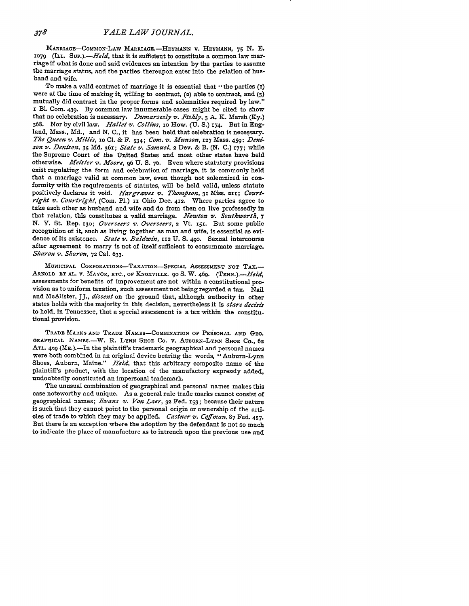MARRIAGE-COMMON-LAW **MARRIAGE.-HEYMANN** v. **HEYMANN, 75** N. E. 1079 (ILL. Sur.).-*Held*, that it is sufficient to constitute a common law marriage if what is done and said evidences an intention **by** the parties to assume the marriage status, and the parties thereupon enter into the relation of husband and wife.

To make a valid contract of marriage it is essential that "the parties **(1)** were at the time of making it, willing to contract, **(2)** able to contract, and (3) mutually did contract in the proper forms and solemnities required by law." **i** BI. Com. 439. **By** common law innumerable cases might be cited to show that no celebration is necessary. *Dumarsesly v. .Fishly,* 3 A. *K.* Marsh (Ky.) 368. Nor by civil law. *Hallet v. Collins,* io How. **(U.** S.) **174.** But in England, Mass., Md., and N. C., it has been held that celebration is necessary. *The Queen v. Aillis,* xo **Cl.** & F. 534; *Corn. v. Munson,* **127** Mass. 459: *Denison v. Denison,* 35 Md. **361;** *State v. Samuel,* **2** Dev. & B. (N. C.) **177;** while the Supreme Court of the United States and most other states have held otherwise. *Meister v. Moore*, 96 U. S. 76. Even where statutory provisions exist regulating the form and celebration of marriage, it is commonly held that a marriage valid at common law, even though not solemnized in conformity with the requirements of statutes, will be held valid, unless statute positively declares it void. Hargraves v. Thompson, 31 Miss. 211; Court*right v. Courtright,* (Com. P1.) **ii** Ohio Dec. 412. Where parties agree to take each other as husband and wife and do from then on live professedly in that relation, this constitutes a valid marriage. Newton v. Southworth, 7 N. Y. St. Rep. **130;** *Overseers v. Overseers,* 2 Vt. 15i. But some public recognition of it, such as living together as man and wife, is essential as evidence of its existence. *State v. Baldwin,* **112** U. **S. 490.** Sexual intercourse after agreement to marry is not of itself sufficient to consummate marriage. *Sharon v. Sharon,* **72** Cal. **633.**

**MUNICIPAL CORPORATIONS--TAXATION-SPECIAL ASSESSMENT NOT** TAX.- ARNOLD **XT AL.** V. MAYOR, **ETC., OF** KNOXVILLE. **90 S.** W. 469. *(TENN.).-Held,* assessments for benefits of improvement are not within a constitutional provision as to uniform taxation, such assessment not being regarded a tax. Nail and McAlister, **JJ.,** *dissent* on the ground that, although authority in other states holds with the majority in this decision, nevertheless it is *stare decisis* to hold, in Tennessee, that a special assessment is a tax within the constitutional provision.

**TRADE MARKS AND TRADE NAMES-COMBINATION OF PERSONAL AND GEO. GRAPHICAL NAMEs.-W.** R. **LYNN SHOE Co. v. AUBURN-LYNN SHOE Co., 62 ATL. 4qg (ME.).-In** the plaintiff's trademark geographical and personal names **were** both combined in an original device bearing the **words, "Auburn-Lynn** Shoes, Auburn, Maine." *Held,* that this arbitrary composite name of the plaintiff's product, with the location of the manufactory expressly added, undoubtedly constituted an impersonal trademark.

The unusual combination of geographical and personal names makes this case noteworthy and unique. As a general rule trade marks cannot consist of geographical names; *Evans v. Von Laer,* **32** Fed. **153;** because their nature is such that they cannot point to the personal origin or ownership of the articles of trade to which they may be applied. *Castner v. Cafman,* **87** Fed. **457.** But there is an exception where the adoption **by** the defendant is not so much to indicate the place of manufacture as to intrench upon the previous use and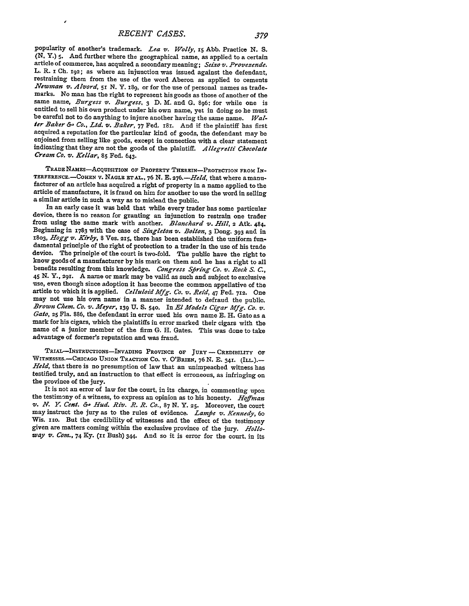popularity of another's trademark. *Lea v. W olly,* **i5** Abb. Practice **N. S. (N.** Y.) 5. And further where the geographical name, as applied to a certain article of commerce, has acquired a secondary meaning; *Seixo v. Provezende.* L. R. i **Ch.** 192; as where an injunction was issued against the defendant, restraining them from the use of the word Aberon as applied to cements *Newman v. Alvord*, 51 N. Y. 189, or for the use of personal names as trade-<br>marks. No man has the right to represent his goods as those of another of the same name, *Burgess v. Burgess*, **3** D. M. and G. 896: for while one is entitled to sell his own product under his own name, yet in doing so he must be careful not to do anything to injure another having the same name. *Wal***ier** *Baker & Co., Ltd.* v. *Baker,* **77** Fed. **i8i. And** if the plaintiff has first acquired a reputation for the particular kind of goods, the defendant may be enjoined from selling like goods, except in connection with a clear statement indicating that they are not the goods of the plaintiff. *A llegretti Chocolate Cream Co. v. Kellar,* **85** Fed. 643.

**TRADE NAMEs-AcQUISITION OF PROPERTY** THEREIN-PROTECTION **FROM** IN-**TERFERENCE.**-COHEN v. NAGLE ET AL., 76 N. E. 276.-*Held*, that where a manu-<br>facturer of an article has acquired a right of property in a name applied to the article of manufacture, it is fraud on him for another to use the word in selling a similar article in such a way as to mislead the public.

In an early case it was held that while every trader has some particular device, there is no reason for granting an injunction to restrain one trader from using the same mark with another. *Blanchard v. Hill*, 2 Atk. 484. Beginning in 1783 with the case of *Singleton v. Bolton,* **3** Dong. **393** and in *1803, Hogg v. Kirby,* 8 Ves. 215, there has been established the uniform fundamental principle of the right of protection to a trader in the use of his trade device. The principle of the court is two-fold. The public have the right to know goods of a manufacturer **by** his mark on them and he has a right to all benefits resulting from this knowledge. *Congress Sfiring Co. v. Rock S. C.,* <sup>45</sup>**N.** Y., **29 .** A name or mark may be valid as such and subject to exclusive use, even though since adoption it has become the common appellative of the article to which it is applied. *Celluloid Mfg. Co. v. Reid*, 47 Fed. 712. One may not use his own name in a manner intended to defraud the public. Brown Chem. Co. v. Meyer, 139 U. S. 540. In El Models Cigar Mfg. Co. v. Gato, 25 Fla. 886, the defendant in error used his own name E. H. Gato as a mark for his cigars, which the plaintiffs in error marked their cigars wi advantage of former's reputation and was fraud.

**TRIAL-INSTRUCTIONS-INvADING PROVINCE OF** JURY - CREDIBILITY OF WITNESSES.-CHIcAGO **UNION** TRACTION **Co.** V. O'BRIEN, **76 N. E.** 34r. (ILL.).- *Held,* that there is no presumption of law that an unimpeached witness has testified truly, and an instruction to that effect is erroneous, as infringing on the province of the jury.

It is not an error of law for the court, in its charge, in commenting upon the testimony of a witness, to express an opinion as to his honesty. *HoJfnan v. N. Y. Cent.* &. *Hud. Riv. R. R. Co.,* **87 N.** Y. **25.** Moreover, the court may instruct the jury as to the rules of evidence. *Lampe v. Kennedy*, 60 Wis. 110. But the credibility of witnesses and the effect of the testimony given are matters coming within the exclusive province of the jury. *Hollo*way v. Com., 74 Ky. (II Bush) 344. And so it is error for the court, in its